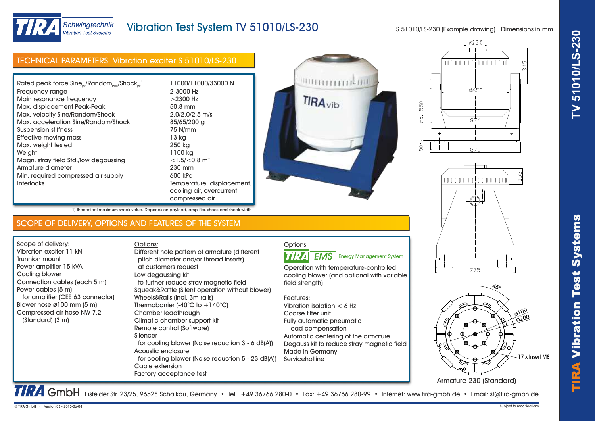



## Schwingtechnik Vibration Test Svstems

# Vibration Test System TV 51010/LS-230

S 51010/LS-230 (Example drawing) Dimensions in mm

| <b>TECHNICAL PARAMETERS Vibration exciter S 51010/LS-230</b> |                            |  |
|--------------------------------------------------------------|----------------------------|--|
|                                                              |                            |  |
| Rated peak force $Sine_{ok}/Random_{RMS}/Shock_{ck}^{-1}$    | 11000/11000/33000 N        |  |
| Frequency range                                              | 2-3000 Hz                  |  |
| Main resonance frequency                                     | $>$ 2300 Hz                |  |
| Max. displacement Peak-Peak                                  | 50.8 mm                    |  |
| Max. velocity Sine/Random/Shock                              | $2.0/2.0/2.5$ m/s          |  |
| Max. acceleration Sine/Random/Shock                          | 85/65/200 g                |  |
| Suspension stiffness                                         | 75 N/mm                    |  |
| Effective moving mass                                        | 13 kg                      |  |
| Max. weight tested                                           | 250 kg                     |  |
| Weight                                                       | 1100 kg                    |  |
| Magn. stray field Std./low degaussing                        | $<$ 1.5/ $<$ 0.8 mT        |  |
| Armature diameter                                            | 230 mm                     |  |
| Min. required compressed air supply                          | 600 kPa                    |  |
| <b>Interlocks</b>                                            | Temperature, displacement, |  |
|                                                              | cooling air, overcurrent,  |  |
|                                                              | compressed air             |  |

1) theoretical maximum shock value. Depends on payload, amplifier, shock and shock width

Options:









TRA GmbH Eisfelder Str. 23/25, 96528 Schalkau, Germany • Tel.: +49 36766 280-0 • Fax: +49 36766 280-99 • Internet: www.tira-gmbh.de • Email: st@tira-gmbh.de

Options: **TIRA EMS** Energy Management System

Operation with temperature-controlled cooling blower (and optional with variable field strength)

### Features:

Vibration isolation < 6 Hz Coarse filter unit Fully automatic pneumatic load compensation Automatic centering of the armature Degauss kit to reduce stray magnetic field Made in Germany **Servicehotline** 

SCOPE OF DELIVERY, OPTIONS AND FEATURES OF THE SYSTEM

Different hole pattern of armature (different

Scope of delivery: Vibration exciter 11 kN Trunnion mount Power amplifier 15 kVA Cooling blower Connection cables (each 5 m) Power cables (5 m) for amplifier (CEE 63 connector) Blower hose ø100 mm (5 m) Compressed-air hose NW 7,2 (Standard) (3 m)

 pitch diameter and/or thread inserts) at customers request Low degaussing kit to further reduce stray magnetic field Squeak&Rattle (Silent operation without blower) Wheels&Rails (incl. 3m rails) Thermobarrier  $(-40^{\circ}C)$  to  $+140^{\circ}C$ ) Chamber leadthrough Climatic chamber support kit Remote control (Software) Silencer for cooling blower (Noise reduction 3 - 6 dB(A)) Acoustic enclosure for cooling blower (Noise reduction 5 - 23 dB(A)) Cable extension

Factory acceptance test